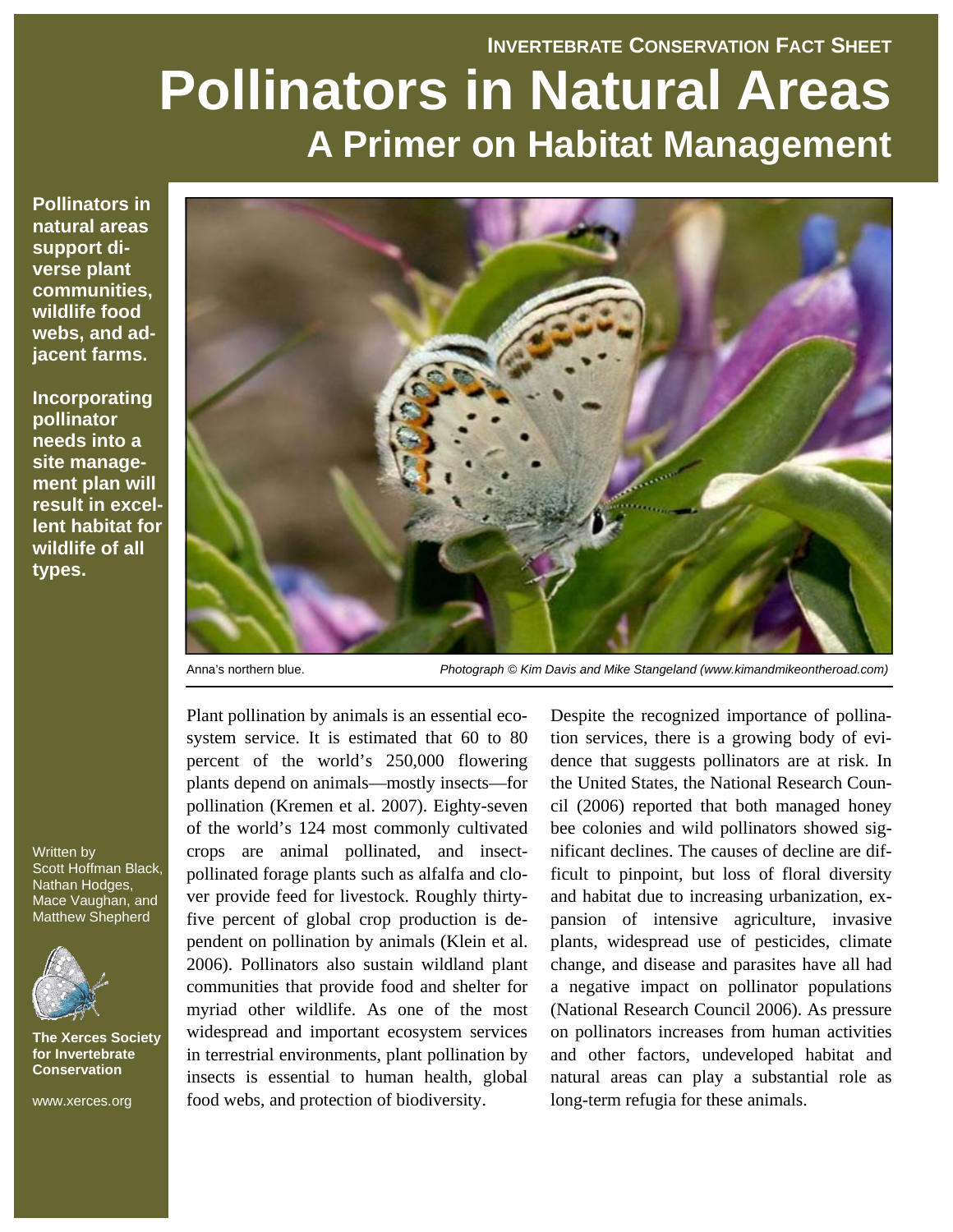# **INVERTEBRATE CONSERVATION FACT SHEET Pollinators in Natural Areas A Primer on Habitat Management**

**Pollinators in natural areas support diverse plant communities, wildlife food webs, and adjacent farms.** 

**Incorporating pollinator needs into a site management plan will result in excellent habitat for wildlife of all types.** 



Anna's northern blue. *Photograph © Kim Davis and Mike Stangeland (www.kimandmikeontheroad.com)*

Plant pollination by animals is an essential ecosystem service. It is estimated that 60 to 80 percent of the world's 250,000 flowering plants depend on animals—mostly insects—for pollination (Kremen et al. 2007). Eighty-seven of the world's 124 most commonly cultivated crops are animal pollinated, and insectpollinated forage plants such as alfalfa and clover provide feed for livestock. Roughly thirtyfive percent of global crop production is dependent on pollination by animals (Klein et al. 2006). Pollinators also sustain wildland plant communities that provide food and shelter for myriad other wildlife. As one of the most widespread and important ecosystem services in terrestrial environments, plant pollination by insects is essential to human health, global food webs, and protection of biodiversity.

Despite the recognized importance of pollination services, there is a growing body of evidence that suggests pollinators are at risk. In the United States, the National Research Council (2006) reported that both managed honey bee colonies and wild pollinators showed significant declines. The causes of decline are difficult to pinpoint, but loss of floral diversity and habitat due to increasing urbanization, expansion of intensive agriculture, invasive plants, widespread use of pesticides, climate change, and disease and parasites have all had a negative impact on pollinator populations (National Research Council 2006). As pressure on pollinators increases from human activities and other factors, undeveloped habitat and natural areas can play a substantial role as long-term refugia for these animals.

Written by Scott Hoffman Black, Nathan Hodges, Mace Vaughan, and Matthew Shepherd



**The Xerces Society for Invertebrate Conservation** 

www.xerces.org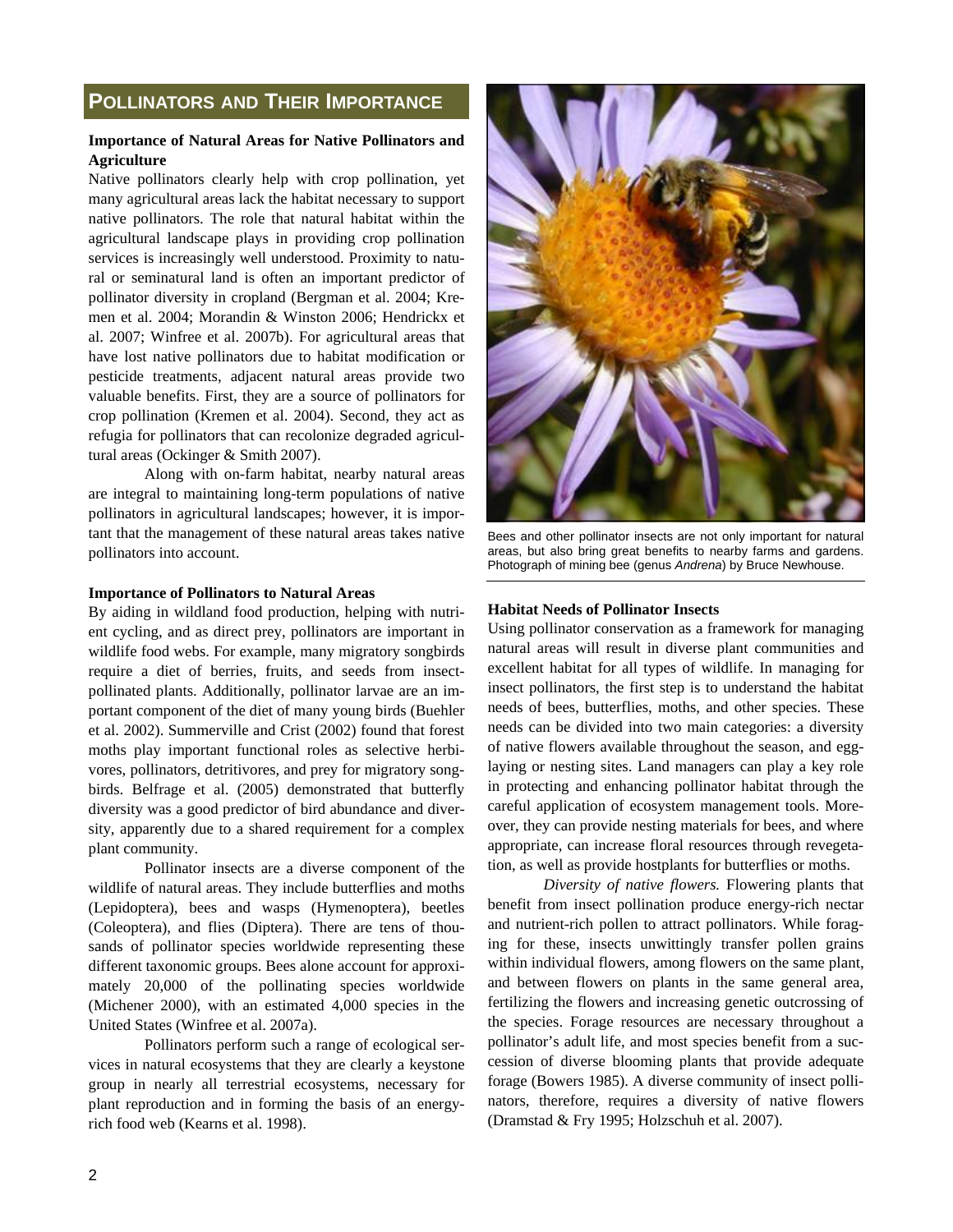# **POLLINATORS AND THEIR IMPORTANCE**

#### **Importance of Natural Areas for Native Pollinators and Agriculture**

Native pollinators clearly help with crop pollination, yet many agricultural areas lack the habitat necessary to support native pollinators. The role that natural habitat within the agricultural landscape plays in providing crop pollination services is increasingly well understood. Proximity to natural or seminatural land is often an important predictor of pollinator diversity in cropland (Bergman et al. 2004; Kremen et al. 2004; Morandin & Winston 2006; Hendrickx et al. 2007; Winfree et al. 2007b). For agricultural areas that have lost native pollinators due to habitat modification or pesticide treatments, adjacent natural areas provide two valuable benefits. First, they are a source of pollinators for crop pollination (Kremen et al. 2004). Second, they act as refugia for pollinators that can recolonize degraded agricultural areas (Ockinger & Smith 2007).

 Along with on-farm habitat, nearby natural areas are integral to maintaining long-term populations of native pollinators in agricultural landscapes; however, it is important that the management of these natural areas takes native pollinators into account.

#### **Importance of Pollinators to Natural Areas**

By aiding in wildland food production, helping with nutrient cycling, and as direct prey, pollinators are important in wildlife food webs. For example, many migratory songbirds require a diet of berries, fruits, and seeds from insectpollinated plants. Additionally, pollinator larvae are an important component of the diet of many young birds (Buehler et al. 2002). Summerville and Crist (2002) found that forest moths play important functional roles as selective herbivores, pollinators, detritivores, and prey for migratory songbirds. Belfrage et al. (2005) demonstrated that butterfly diversity was a good predictor of bird abundance and diversity, apparently due to a shared requirement for a complex plant community.

 Pollinator insects are a diverse component of the wildlife of natural areas. They include butterflies and moths (Lepidoptera), bees and wasps (Hymenoptera), beetles (Coleoptera), and flies (Diptera). There are tens of thousands of pollinator species worldwide representing these different taxonomic groups. Bees alone account for approximately 20,000 of the pollinating species worldwide (Michener 2000), with an estimated 4,000 species in the United States (Winfree et al. 2007a).

 Pollinators perform such a range of ecological services in natural ecosystems that they are clearly a keystone group in nearly all terrestrial ecosystems, necessary for plant reproduction and in forming the basis of an energyrich food web (Kearns et al. 1998).



Bees and other pollinator insects are not only important for natural areas, but also bring great benefits to nearby farms and gardens. Photograph of mining bee (genus *Andrena*) by Bruce Newhouse.

#### **Habitat Needs of Pollinator Insects**

Using pollinator conservation as a framework for managing natural areas will result in diverse plant communities and excellent habitat for all types of wildlife. In managing for insect pollinators, the first step is to understand the habitat needs of bees, butterflies, moths, and other species. These needs can be divided into two main categories: a diversity of native flowers available throughout the season, and egglaying or nesting sites. Land managers can play a key role in protecting and enhancing pollinator habitat through the careful application of ecosystem management tools. Moreover, they can provide nesting materials for bees, and where appropriate, can increase floral resources through revegetation, as well as provide hostplants for butterflies or moths.

*Diversity of native flowers.* Flowering plants that benefit from insect pollination produce energy-rich nectar and nutrient-rich pollen to attract pollinators. While foraging for these, insects unwittingly transfer pollen grains within individual flowers, among flowers on the same plant, and between flowers on plants in the same general area, fertilizing the flowers and increasing genetic outcrossing of the species. Forage resources are necessary throughout a pollinator's adult life, and most species benefit from a succession of diverse blooming plants that provide adequate forage (Bowers 1985). A diverse community of insect pollinators, therefore, requires a diversity of native flowers (Dramstad & Fry 1995; Holzschuh et al. 2007).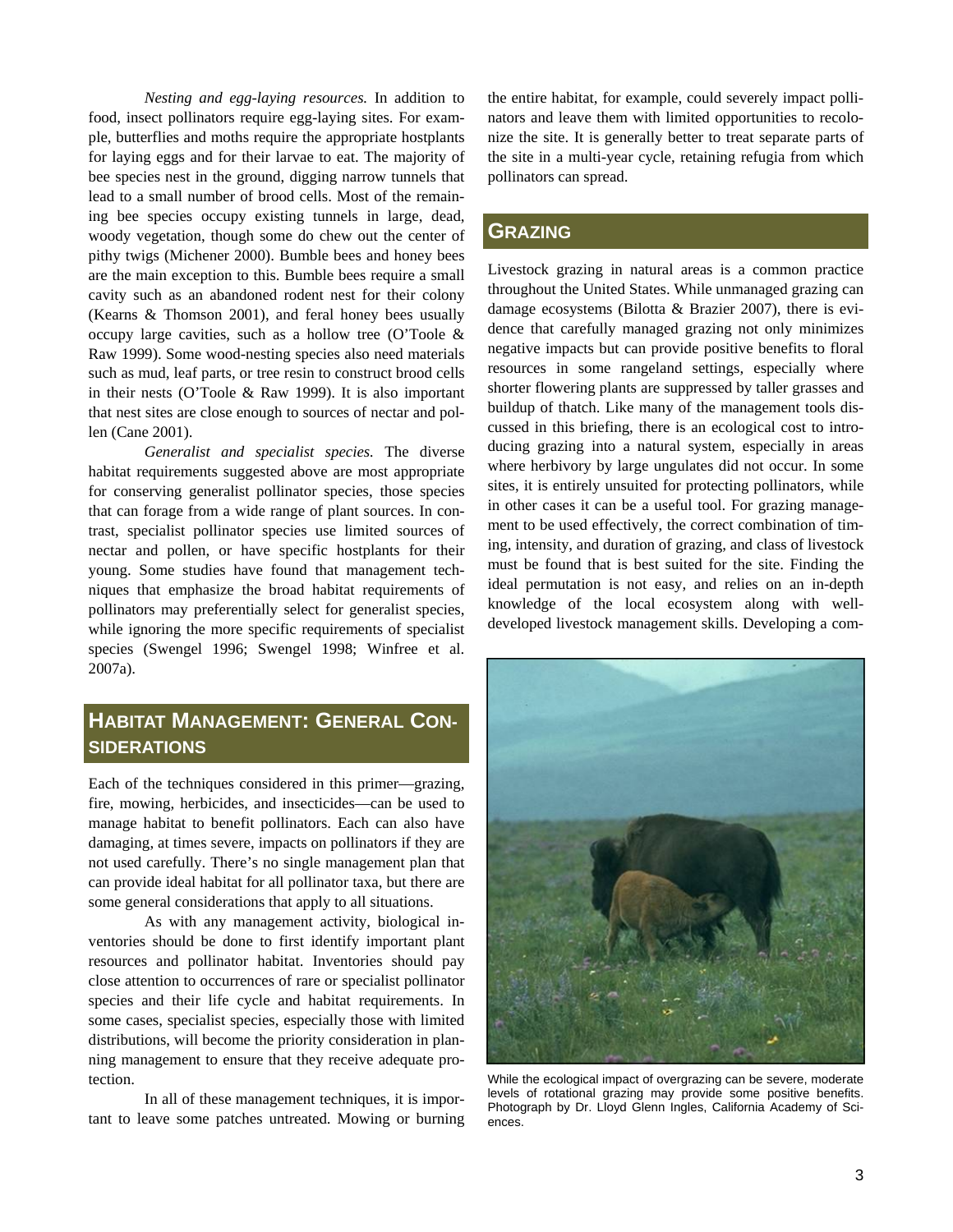*Nesting and egg-laying resources.* In addition to food, insect pollinators require egg-laying sites. For example, butterflies and moths require the appropriate hostplants for laying eggs and for their larvae to eat. The majority of bee species nest in the ground, digging narrow tunnels that lead to a small number of brood cells. Most of the remaining bee species occupy existing tunnels in large, dead, woody vegetation, though some do chew out the center of pithy twigs (Michener 2000). Bumble bees and honey bees are the main exception to this. Bumble bees require a small cavity such as an abandoned rodent nest for their colony (Kearns & Thomson 2001), and feral honey bees usually occupy large cavities, such as a hollow tree (O'Toole & Raw 1999). Some wood-nesting species also need materials such as mud, leaf parts, or tree resin to construct brood cells in their nests (O'Toole & Raw 1999). It is also important that nest sites are close enough to sources of nectar and pollen (Cane 2001).

*Generalist and specialist species.* The diverse habitat requirements suggested above are most appropriate for conserving generalist pollinator species, those species that can forage from a wide range of plant sources. In contrast, specialist pollinator species use limited sources of nectar and pollen, or have specific hostplants for their young. Some studies have found that management techniques that emphasize the broad habitat requirements of pollinators may preferentially select for generalist species, while ignoring the more specific requirements of specialist species (Swengel 1996; Swengel 1998; Winfree et al. 2007a).

# **HABITAT MANAGEMENT: GENERAL CON-SIDERATIONS**

Each of the techniques considered in this primer—grazing, fire, mowing, herbicides, and insecticides—can be used to manage habitat to benefit pollinators. Each can also have damaging, at times severe, impacts on pollinators if they are not used carefully. There's no single management plan that can provide ideal habitat for all pollinator taxa, but there are some general considerations that apply to all situations.

 As with any management activity, biological inventories should be done to first identify important plant resources and pollinator habitat. Inventories should pay close attention to occurrences of rare or specialist pollinator species and their life cycle and habitat requirements. In some cases, specialist species, especially those with limited distributions, will become the priority consideration in planning management to ensure that they receive adequate protection.

 In all of these management techniques, it is important to leave some patches untreated. Mowing or burning the entire habitat, for example, could severely impact pollinators and leave them with limited opportunities to recolonize the site. It is generally better to treat separate parts of the site in a multi-year cycle, retaining refugia from which pollinators can spread.

# **GRAZING**

Livestock grazing in natural areas is a common practice throughout the United States. While unmanaged grazing can damage ecosystems (Bilotta & Brazier 2007), there is evidence that carefully managed grazing not only minimizes negative impacts but can provide positive benefits to floral resources in some rangeland settings, especially where shorter flowering plants are suppressed by taller grasses and buildup of thatch. Like many of the management tools discussed in this briefing, there is an ecological cost to introducing grazing into a natural system, especially in areas where herbivory by large ungulates did not occur. In some sites, it is entirely unsuited for protecting pollinators, while in other cases it can be a useful tool. For grazing management to be used effectively, the correct combination of timing, intensity, and duration of grazing, and class of livestock must be found that is best suited for the site. Finding the ideal permutation is not easy, and relies on an in-depth knowledge of the local ecosystem along with welldeveloped livestock management skills. Developing a com-



While the ecological impact of overgrazing can be severe, moderate levels of rotational grazing may provide some positive benefits. Photograph by Dr. Lloyd Glenn Ingles, California Academy of Sciences.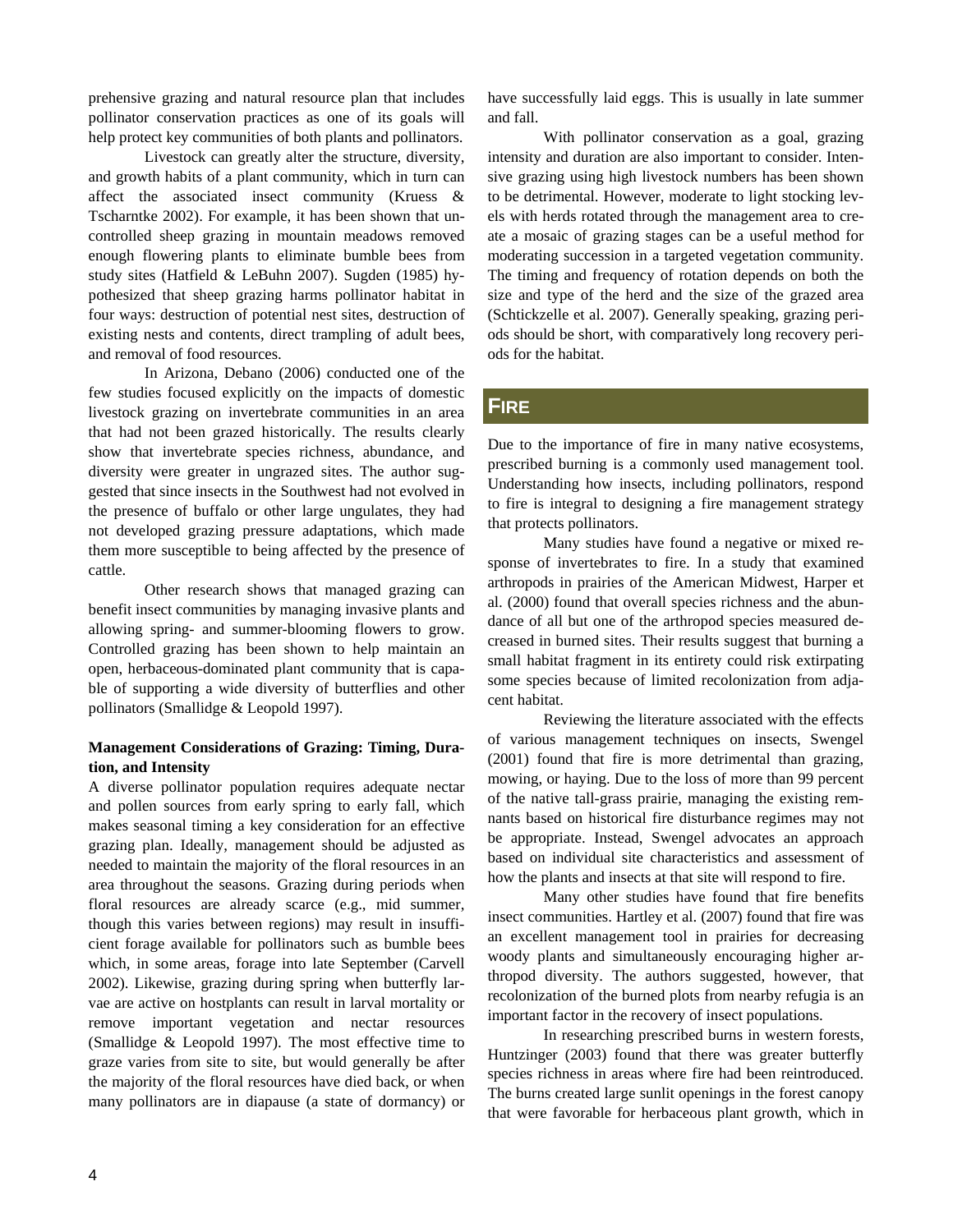prehensive grazing and natural resource plan that includes pollinator conservation practices as one of its goals will help protect key communities of both plants and pollinators.

 Livestock can greatly alter the structure, diversity, and growth habits of a plant community, which in turn can affect the associated insect community (Kruess & Tscharntke 2002). For example, it has been shown that uncontrolled sheep grazing in mountain meadows removed enough flowering plants to eliminate bumble bees from study sites (Hatfield & LeBuhn 2007). Sugden (1985) hypothesized that sheep grazing harms pollinator habitat in four ways: destruction of potential nest sites, destruction of existing nests and contents, direct trampling of adult bees, and removal of food resources.

 In Arizona, Debano (2006) conducted one of the few studies focused explicitly on the impacts of domestic livestock grazing on invertebrate communities in an area that had not been grazed historically. The results clearly show that invertebrate species richness, abundance, and diversity were greater in ungrazed sites. The author suggested that since insects in the Southwest had not evolved in the presence of buffalo or other large ungulates, they had not developed grazing pressure adaptations, which made them more susceptible to being affected by the presence of cattle.

 Other research shows that managed grazing can benefit insect communities by managing invasive plants and allowing spring- and summer-blooming flowers to grow. Controlled grazing has been shown to help maintain an open, herbaceous-dominated plant community that is capable of supporting a wide diversity of butterflies and other pollinators (Smallidge & Leopold 1997).

### **Management Considerations of Grazing: Timing, Duration, and Intensity**

A diverse pollinator population requires adequate nectar and pollen sources from early spring to early fall, which makes seasonal timing a key consideration for an effective grazing plan. Ideally, management should be adjusted as needed to maintain the majority of the floral resources in an area throughout the seasons. Grazing during periods when floral resources are already scarce (e.g., mid summer, though this varies between regions) may result in insufficient forage available for pollinators such as bumble bees which, in some areas, forage into late September (Carvell 2002). Likewise, grazing during spring when butterfly larvae are active on hostplants can result in larval mortality or remove important vegetation and nectar resources (Smallidge & Leopold 1997). The most effective time to graze varies from site to site, but would generally be after the majority of the floral resources have died back, or when many pollinators are in diapause (a state of dormancy) or

have successfully laid eggs. This is usually in late summer and fall.

 With pollinator conservation as a goal, grazing intensity and duration are also important to consider. Intensive grazing using high livestock numbers has been shown to be detrimental. However, moderate to light stocking levels with herds rotated through the management area to create a mosaic of grazing stages can be a useful method for moderating succession in a targeted vegetation community. The timing and frequency of rotation depends on both the size and type of the herd and the size of the grazed area (Schtickzelle et al. 2007). Generally speaking, grazing periods should be short, with comparatively long recovery periods for the habitat.

## **FIRE**

Due to the importance of fire in many native ecosystems, prescribed burning is a commonly used management tool. Understanding how insects, including pollinators, respond to fire is integral to designing a fire management strategy that protects pollinators.

 Many studies have found a negative or mixed response of invertebrates to fire. In a study that examined arthropods in prairies of the American Midwest, Harper et al. (2000) found that overall species richness and the abundance of all but one of the arthropod species measured decreased in burned sites. Their results suggest that burning a small habitat fragment in its entirety could risk extirpating some species because of limited recolonization from adjacent habitat.

 Reviewing the literature associated with the effects of various management techniques on insects, Swengel (2001) found that fire is more detrimental than grazing, mowing, or haying. Due to the loss of more than 99 percent of the native tall-grass prairie, managing the existing remnants based on historical fire disturbance regimes may not be appropriate. Instead, Swengel advocates an approach based on individual site characteristics and assessment of how the plants and insects at that site will respond to fire.

 Many other studies have found that fire benefits insect communities. Hartley et al. (2007) found that fire was an excellent management tool in prairies for decreasing woody plants and simultaneously encouraging higher arthropod diversity. The authors suggested, however, that recolonization of the burned plots from nearby refugia is an important factor in the recovery of insect populations.

 In researching prescribed burns in western forests, Huntzinger (2003) found that there was greater butterfly species richness in areas where fire had been reintroduced. The burns created large sunlit openings in the forest canopy that were favorable for herbaceous plant growth, which in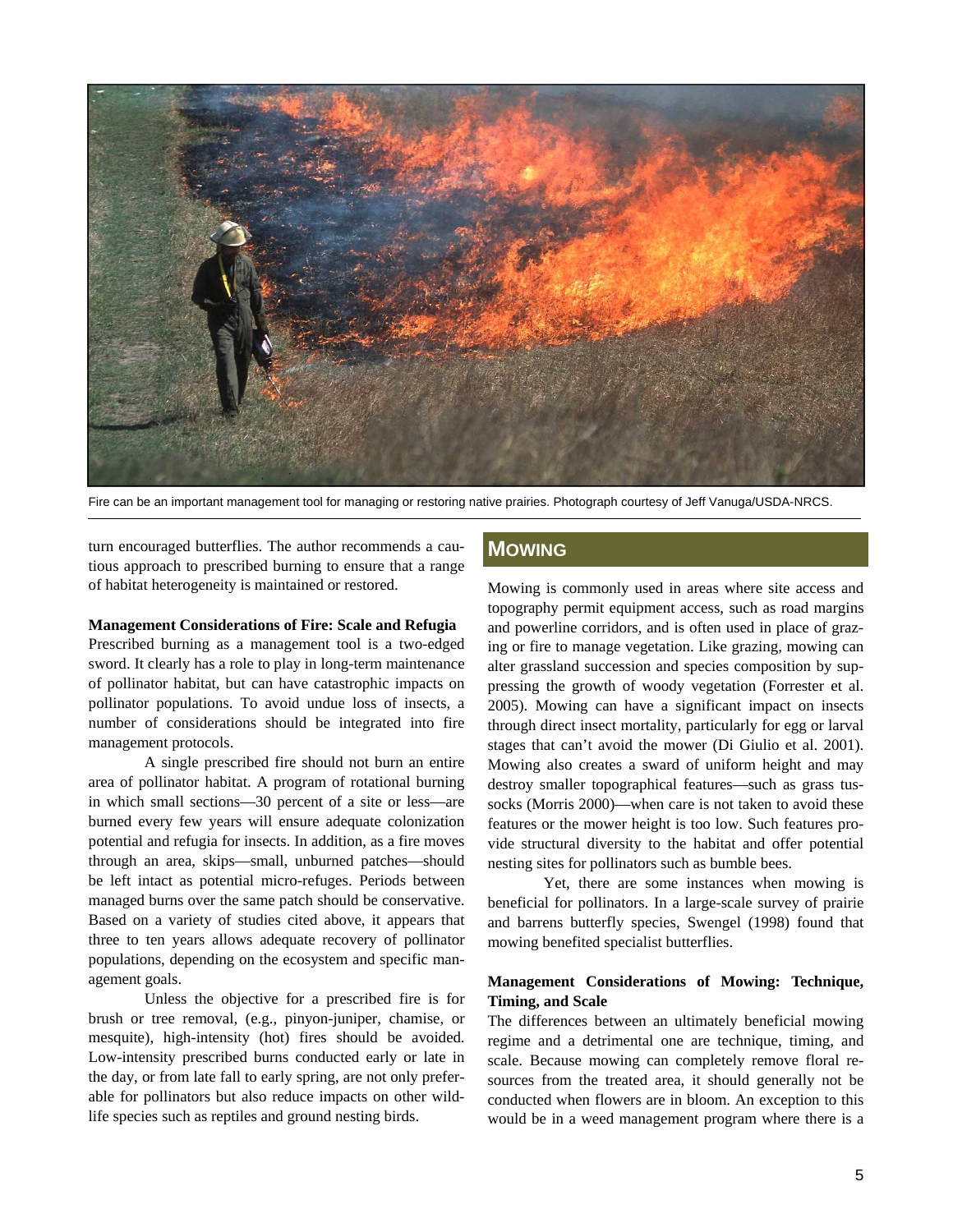

Fire can be an important management tool for managing or restoring native prairies. Photograph courtesy of Jeff Vanuga/USDA-NRCS.

turn encouraged butterflies. The author recommends a cautious approach to prescribed burning to ensure that a range of habitat heterogeneity is maintained or restored.

#### **Management Considerations of Fire: Scale and Refugia**

Prescribed burning as a management tool is a two-edged sword. It clearly has a role to play in long-term maintenance of pollinator habitat, but can have catastrophic impacts on pollinator populations. To avoid undue loss of insects, a number of considerations should be integrated into fire management protocols.

 A single prescribed fire should not burn an entire area of pollinator habitat. A program of rotational burning in which small sections—30 percent of a site or less—are burned every few years will ensure adequate colonization potential and refugia for insects. In addition, as a fire moves through an area, skips—small, unburned patches—should be left intact as potential micro-refuges. Periods between managed burns over the same patch should be conservative. Based on a variety of studies cited above, it appears that three to ten years allows adequate recovery of pollinator populations, depending on the ecosystem and specific management goals.

 Unless the objective for a prescribed fire is for brush or tree removal, (e.g., pinyon-juniper, chamise, or mesquite), high-intensity (hot) fires should be avoided. Low-intensity prescribed burns conducted early or late in the day, or from late fall to early spring, are not only preferable for pollinators but also reduce impacts on other wildlife species such as reptiles and ground nesting birds.

# **MOWING**

Mowing is commonly used in areas where site access and topography permit equipment access, such as road margins and powerline corridors, and is often used in place of grazing or fire to manage vegetation. Like grazing, mowing can alter grassland succession and species composition by suppressing the growth of woody vegetation (Forrester et al. 2005). Mowing can have a significant impact on insects through direct insect mortality, particularly for egg or larval stages that can't avoid the mower (Di Giulio et al. 2001). Mowing also creates a sward of uniform height and may destroy smaller topographical features—such as grass tussocks (Morris 2000)—when care is not taken to avoid these features or the mower height is too low. Such features provide structural diversity to the habitat and offer potential nesting sites for pollinators such as bumble bees.

 Yet, there are some instances when mowing is beneficial for pollinators. In a large-scale survey of prairie and barrens butterfly species, Swengel (1998) found that mowing benefited specialist butterflies.

#### **Management Considerations of Mowing: Technique, Timing, and Scale**

The differences between an ultimately beneficial mowing regime and a detrimental one are technique, timing, and scale. Because mowing can completely remove floral resources from the treated area, it should generally not be conducted when flowers are in bloom. An exception to this would be in a weed management program where there is a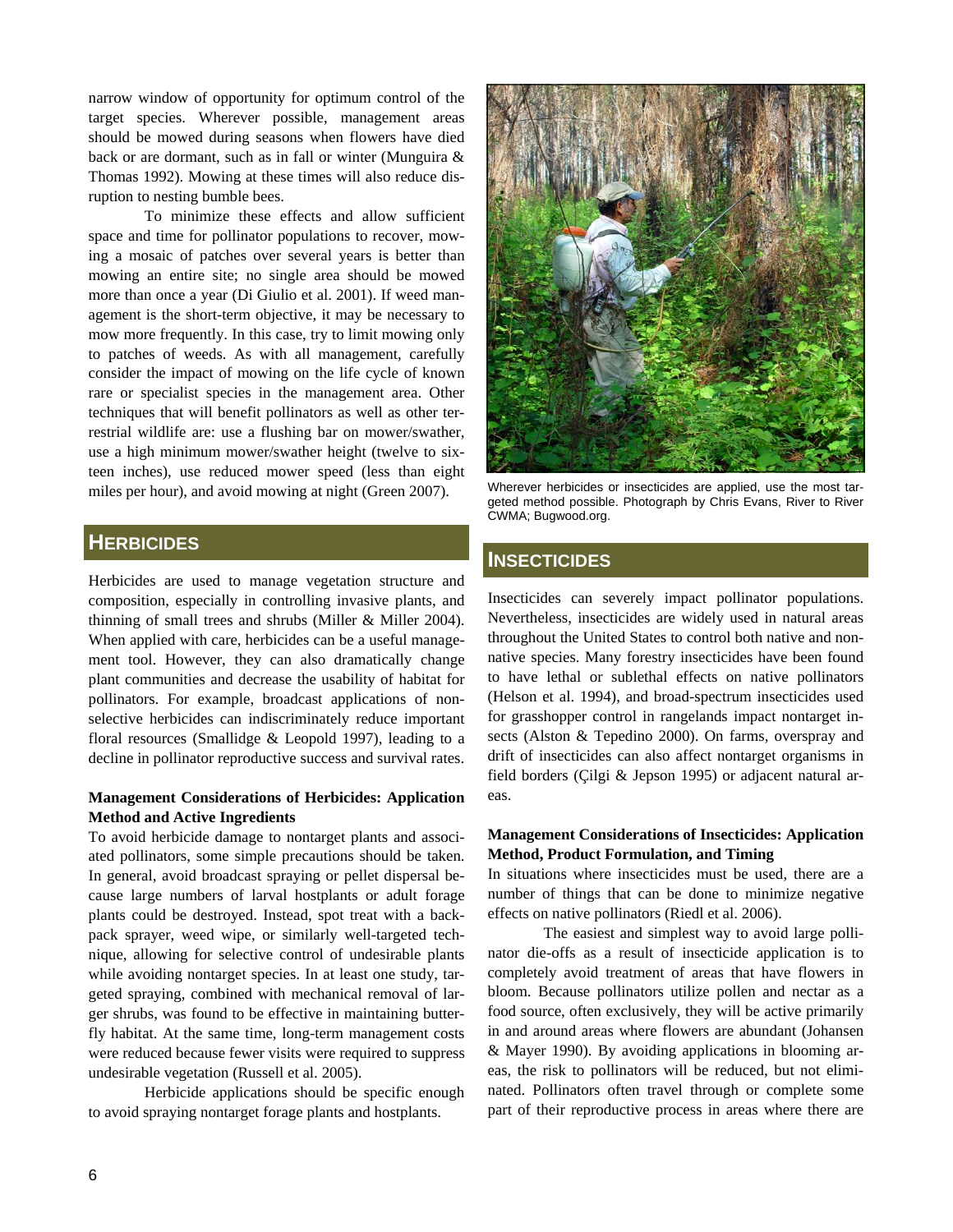narrow window of opportunity for optimum control of the target species. Wherever possible, management areas should be mowed during seasons when flowers have died back or are dormant, such as in fall or winter (Munguira & Thomas 1992). Mowing at these times will also reduce disruption to nesting bumble bees.

 To minimize these effects and allow sufficient space and time for pollinator populations to recover, mowing a mosaic of patches over several years is better than mowing an entire site; no single area should be mowed more than once a year (Di Giulio et al. 2001). If weed management is the short-term objective, it may be necessary to mow more frequently. In this case, try to limit mowing only to patches of weeds. As with all management, carefully consider the impact of mowing on the life cycle of known rare or specialist species in the management area. Other techniques that will benefit pollinators as well as other terrestrial wildlife are: use a flushing bar on mower/swather, use a high minimum mower/swather height (twelve to sixteen inches), use reduced mower speed (less than eight miles per hour), and avoid mowing at night (Green 2007). Wherever herbicides or insecticides are applied, use the most tar-

# **HERBICIDES**

Herbicides are used to manage vegetation structure and composition, especially in controlling invasive plants, and thinning of small trees and shrubs (Miller & Miller 2004). When applied with care, herbicides can be a useful management tool. However, they can also dramatically change plant communities and decrease the usability of habitat for pollinators. For example, broadcast applications of nonselective herbicides can indiscriminately reduce important floral resources (Smallidge & Leopold 1997), leading to a decline in pollinator reproductive success and survival rates.

#### **Management Considerations of Herbicides: Application Method and Active Ingredients**

To avoid herbicide damage to nontarget plants and associated pollinators, some simple precautions should be taken. In general, avoid broadcast spraying or pellet dispersal because large numbers of larval hostplants or adult forage plants could be destroyed. Instead, spot treat with a backpack sprayer, weed wipe, or similarly well-targeted technique, allowing for selective control of undesirable plants while avoiding nontarget species. In at least one study, targeted spraying, combined with mechanical removal of larger shrubs, was found to be effective in maintaining butterfly habitat. At the same time, long-term management costs were reduced because fewer visits were required to suppress undesirable vegetation (Russell et al. 2005).

 Herbicide applications should be specific enough to avoid spraying nontarget forage plants and hostplants.



geted method possible. Photograph by Chris Evans, River to River CWMA; Bugwood.org.

# **INSECTICIDES**

Insecticides can severely impact pollinator populations. Nevertheless, insecticides are widely used in natural areas throughout the United States to control both native and nonnative species. Many forestry insecticides have been found to have lethal or sublethal effects on native pollinators (Helson et al. 1994), and broad-spectrum insecticides used for grasshopper control in rangelands impact nontarget insects (Alston & Tepedino 2000). On farms, overspray and drift of insecticides can also affect nontarget organisms in field borders (Çilgi & Jepson 1995) or adjacent natural areas.

#### **Management Considerations of Insecticides: Application Method, Product Formulation, and Timing**

In situations where insecticides must be used, there are a number of things that can be done to minimize negative effects on native pollinators (Riedl et al. 2006).

 The easiest and simplest way to avoid large pollinator die-offs as a result of insecticide application is to completely avoid treatment of areas that have flowers in bloom. Because pollinators utilize pollen and nectar as a food source, often exclusively, they will be active primarily in and around areas where flowers are abundant (Johansen & Mayer 1990). By avoiding applications in blooming areas, the risk to pollinators will be reduced, but not eliminated. Pollinators often travel through or complete some part of their reproductive process in areas where there are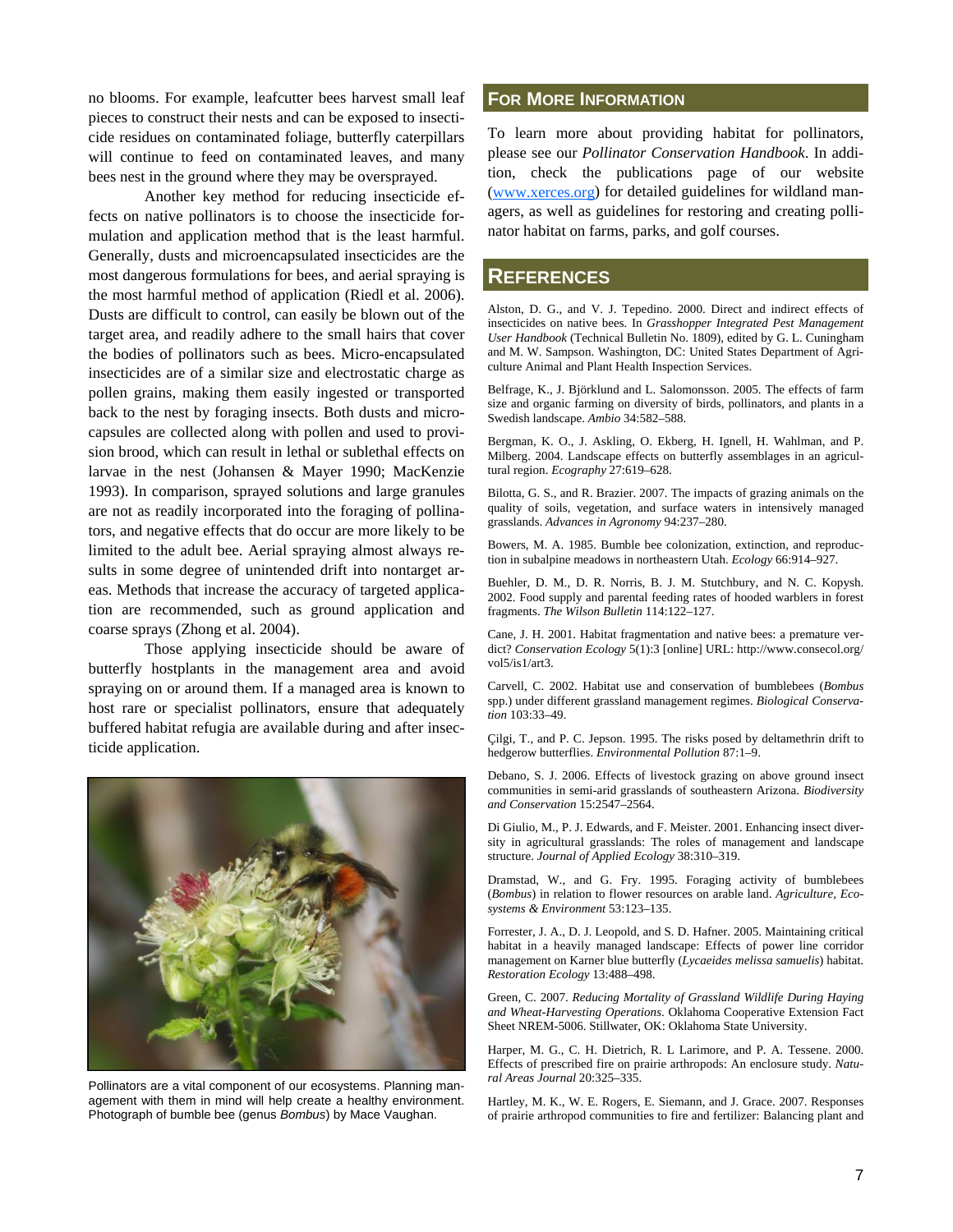no blooms. For example, leafcutter bees harvest small leaf **FOR MORE INFORMATION** pieces to construct their nests and can be exposed to insecticide residues on contaminated foliage, butterfly caterpillars will continue to feed on contaminated leaves, and many bees nest in the ground where they may be oversprayed.

 Another key method for reducing insecticide effects on native pollinators is to choose the insecticide formulation and application method that is the least harmful. Generally, dusts and microencapsulated insecticides are the most dangerous formulations for bees, and aerial spraying is the most harmful method of application (Riedl et al. 2006). Dusts are difficult to control, can easily be blown out of the target area, and readily adhere to the small hairs that cover the bodies of pollinators such as bees. Micro-encapsulated insecticides are of a similar size and electrostatic charge as pollen grains, making them easily ingested or transported back to the nest by foraging insects. Both dusts and microcapsules are collected along with pollen and used to provision brood, which can result in lethal or sublethal effects on larvae in the nest (Johansen & Mayer 1990; MacKenzie 1993). In comparison, sprayed solutions and large granules are not as readily incorporated into the foraging of pollinators, and negative effects that do occur are more likely to be limited to the adult bee. Aerial spraying almost always results in some degree of unintended drift into nontarget areas. Methods that increase the accuracy of targeted application are recommended, such as ground application and coarse sprays (Zhong et al. 2004).

 Those applying insecticide should be aware of butterfly hostplants in the management area and avoid spraying on or around them. If a managed area is known to host rare or specialist pollinators, ensure that adequately buffered habitat refugia are available during and after insecticide application.



Pollinators are a vital component of our ecosystems. Planning management with them in mind will help create a healthy environment. Photograph of bumble bee (genus *Bombus*) by Mace Vaughan.

To learn more about providing habitat for pollinators, please see our *Pollinator Conservation Handbook*. In addition, check the publications page of our website (www.xerces.org) for detailed guidelines for wildland managers, as well as guidelines for restoring and creating pollinator habitat on farms, parks, and golf courses.

# **REFERENCES**

Alston, D. G., and V. J. Tepedino. 2000. Direct and indirect effects of insecticides on native bees. In *Grasshopper Integrated Pest Management User Handbook* (Technical Bulletin No. 1809), edited by G. L. Cuningham and M. W. Sampson. Washington, DC: United States Department of Agriculture Animal and Plant Health Inspection Services.

Belfrage, K., J. Björklund and L. Salomonsson. 2005. The effects of farm size and organic farming on diversity of birds, pollinators, and plants in a Swedish landscape. *Ambio* 34:582–588.

Bergman, K. O., J. Askling, O. Ekberg, H. Ignell, H. Wahlman, and P. Milberg. 2004. Landscape effects on butterfly assemblages in an agricultural region. *Ecography* 27:619–628.

Bilotta, G. S., and R. Brazier. 2007. The impacts of grazing animals on the quality of soils, vegetation, and surface waters in intensively managed grasslands. *Advances in Agronomy* 94:237–280.

Bowers, M. A. 1985. Bumble bee colonization, extinction, and reproduction in subalpine meadows in northeastern Utah. *Ecology* 66:914–927.

Buehler, D. M., D. R. Norris, B. J. M. Stutchbury, and N. C. Kopysh. 2002. Food supply and parental feeding rates of hooded warblers in forest fragments. *The Wilson Bulletin* 114:122–127.

Cane, J. H. 2001. Habitat fragmentation and native bees: a premature verdict? *Conservation Ecology* 5(1):3 [online] URL: http://www.consecol.org/ vol5/is1/art3.

Carvell, C. 2002. Habitat use and conservation of bumblebees (*Bombus* spp.) under different grassland management regimes. *Biological Conservation* 103:33–49.

Çilgi, T., and P. C. Jepson. 1995. The risks posed by deltamethrin drift to hedgerow butterflies. *Environmental Pollution* 87:1–9.

Debano, S. J. 2006. Effects of livestock grazing on above ground insect communities in semi-arid grasslands of southeastern Arizona. *Biodiversity and Conservation* 15:2547–2564.

Di Giulio, M., P. J. Edwards, and F. Meister. 2001. Enhancing insect diversity in agricultural grasslands: The roles of management and landscape structure. *Journal of Applied Ecology* 38:310–319.

Dramstad, W., and G. Fry. 1995. Foraging activity of bumblebees (*Bombus*) in relation to flower resources on arable land. *Agriculture, Ecosystems & Environment* 53:123–135.

Forrester, J. A., D. J. Leopold, and S. D. Hafner. 2005. Maintaining critical habitat in a heavily managed landscape: Effects of power line corridor management on Karner blue butterfly (*Lycaeides melissa samuelis*) habitat. *Restoration Ecology* 13:488–498.

Green, C. 2007. *Reducing Mortality of Grassland Wildlife During Haying and Wheat-Harvesting Operations*. Oklahoma Cooperative Extension Fact Sheet NREM-5006. Stillwater, OK: Oklahoma State University.

Harper, M. G., C. H. Dietrich, R. L Larimore, and P. A. Tessene. 2000. Effects of prescribed fire on prairie arthropods: An enclosure study. *Natural Areas Journal* 20:325–335.

Hartley, M. K., W. E. Rogers, E. Siemann, and J. Grace. 2007. Responses of prairie arthropod communities to fire and fertilizer: Balancing plant and